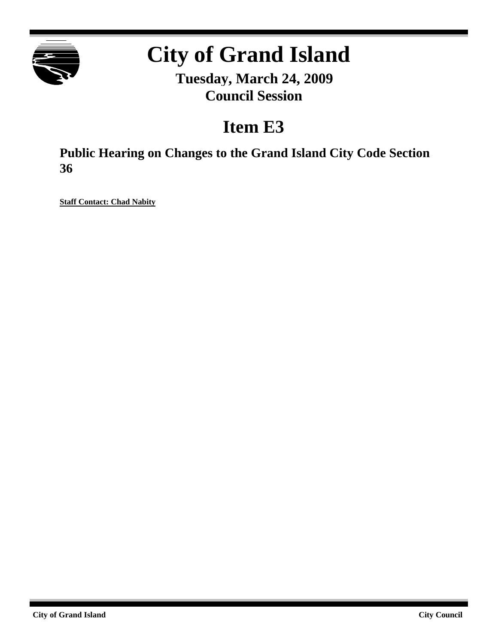

# **City of Grand Island**

**Tuesday, March 24, 2009 Council Session**

## **Item E3**

**Public Hearing on Changes to the Grand Island City Code Section 36**

**Staff Contact: Chad Nabity**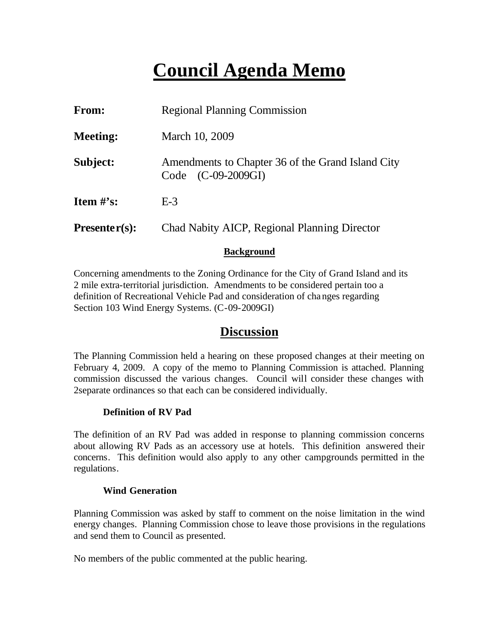## **Council Agenda Memo**

| <b>From:</b>                   | <b>Regional Planning Commission</b>                                     |  |
|--------------------------------|-------------------------------------------------------------------------|--|
| <b>Meeting:</b>                | March 10, 2009                                                          |  |
| Subject:                       | Amendments to Chapter 36 of the Grand Island City<br>Code (C-09-2009GI) |  |
| <b>Item <math>\#</math>'s:</b> | $E-3$                                                                   |  |
| $Presenter(s):$                | Chad Nabity AICP, Regional Planning Director                            |  |

#### **Background**

Concerning amendments to the Zoning Ordinance for the City of Grand Island and its 2 mile extra-territorial jurisdiction. Amendments to be considered pertain too a definition of Recreational Vehicle Pad and consideration of changes regarding Section 103 Wind Energy Systems. (C-09-2009GI)

### **Discussion**

The Planning Commission held a hearing on these proposed changes at their meeting on February 4, 2009. A copy of the memo to Planning Commission is attached. Planning commission discussed the various changes. Council will consider these changes with 2separate ordinances so that each can be considered individually.

#### **Definition of RV Pad**

The definition of an RV Pad was added in response to planning commission concerns about allowing RV Pads as an accessory use at hotels. This definition answered their concerns. This definition would also apply to any other campgrounds permitted in the regulations.

#### **Wind Generation**

Planning Commission was asked by staff to comment on the noise limitation in the wind energy changes. Planning Commission chose to leave those provisions in the regulations and send them to Council as presented.

No members of the public commented at the public hearing.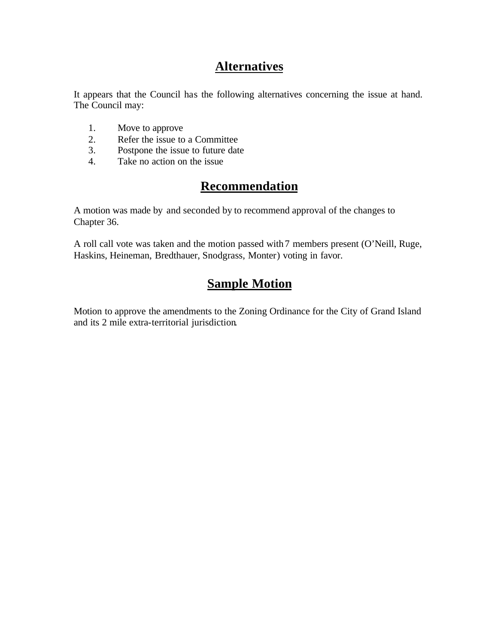## **Alternatives**

It appears that the Council has the following alternatives concerning the issue at hand. The Council may:

- 1. Move to approve
- 2. Refer the issue to a Committee<br>3. Postpone the issue to future date
- Postpone the issue to future date
- 4. Take no action on the issue

## **Recommendation**

A motion was made by and seconded by to recommend approval of the changes to Chapter 36.

A roll call vote was taken and the motion passed with 7 members present (O'Neill, Ruge, Haskins, Heineman, Bredthauer, Snodgrass, Monter) voting in favor.

## **Sample Motion**

Motion to approve the amendments to the Zoning Ordinance for the City of Grand Island and its 2 mile extra-territorial jurisdiction.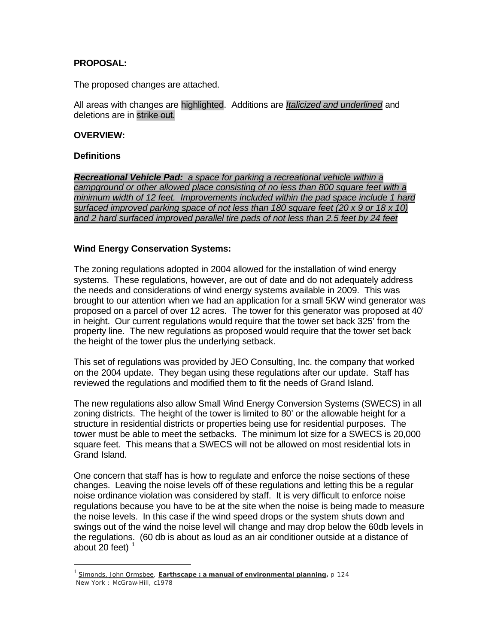#### **PROPOSAL:**

The proposed changes are attached.

All areas with changes are highlighted. Additions are *Italicized and underlined* and deletions are in strike out.

#### **OVERVIEW:**

#### **Definitions**

 $\overline{a}$ 

*Recreational Vehicle Pad: a space for parking a recreational vehicle within a campground or other allowed place consisting of no less than 800 square feet with a minimum width of 12 feet. Improvements included within the pad space include 1 hard surfaced improved parking space of not less than 180 square feet (20 x 9 or 18 x 10) and 2 hard surfaced improved parallel tire pads of not less than 2.5 feet by 24 feet*

#### **Wind Energy Conservation Systems:**

The zoning regulations adopted in 2004 allowed for the installation of wind energy systems. These regulations, however, are out of date and do not adequately address the needs and considerations of wind energy systems available in 2009. This was brought to our attention when we had an application for a small 5KW wind generator was proposed on a parcel of over 12 acres. The tower for this generator was proposed at 40' in height. Our current regulations would require that the tower set back 325' from the property line. The new regulations as proposed would require that the tower set back the height of the tower plus the underlying setback.

This set of regulations was provided by JEO Consulting, Inc. the company that worked on the 2004 update. They began using these regulations after our update. Staff has reviewed the regulations and modified them to fit the needs of Grand Island.

The new regulations also allow Small Wind Energy Conversion Systems (SWECS) in all zoning districts. The height of the tower is limited to 80' or the allowable height for a structure in residential districts or properties being use for residential purposes. The tower must be able to meet the setbacks. The minimum lot size for a SWECS is 20,000 square feet. This means that a SWECS will not be allowed on most residential lots in Grand Island.

One concern that staff has is how to regulate and enforce the noise sections of these changes. Leaving the noise levels off of these regulations and letting this be a regular noise ordinance violation was considered by staff. It is very difficult to enforce noise regulations because you have to be at the site when the noise is being made to measure the noise levels. In this case if the wind speed drops or the system shuts down and swings out of the wind the noise level will change and may drop below the 60db levels in the regulations. (60 db is about as loud as an air conditioner outside at a distance of about 20 feet) $<sup>1</sup>$ </sup>

<sup>1</sup> Simonds, John Ormsbee, **Earthscape : a manual of environmental planning,** p 124 New York : McGraw-Hill, c1978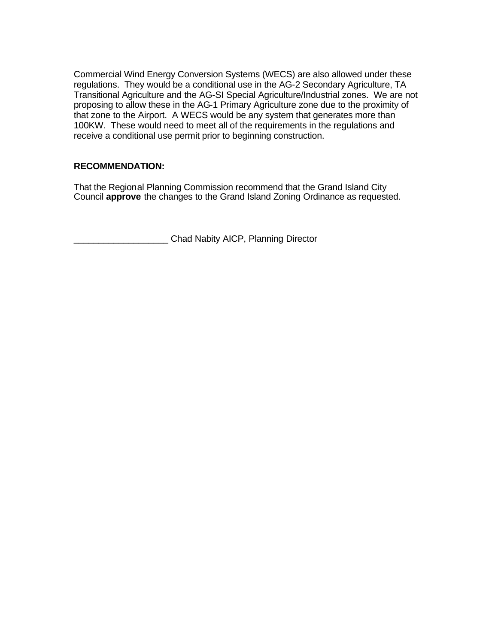Commercial Wind Energy Conversion Systems (WECS) are also allowed under these regulations. They would be a conditional use in the AG-2 Secondary Agriculture, TA Transitional Agriculture and the AG-SI Special Agriculture/Industrial zones. We are not proposing to allow these in the AG-1 Primary Agriculture zone due to the proximity of that zone to the Airport. A WECS would be any system that generates more than 100KW. These would need to meet all of the requirements in the regulations and receive a conditional use permit prior to beginning construction.

#### **RECOMMENDATION:**

 $\overline{a}$ 

That the Regional Planning Commission recommend that the Grand Island City Council **approve** the changes to the Grand Island Zoning Ordinance as requested.

\_\_\_\_\_\_\_\_\_\_\_\_\_\_\_\_\_\_\_ Chad Nabity AICP, Planning Director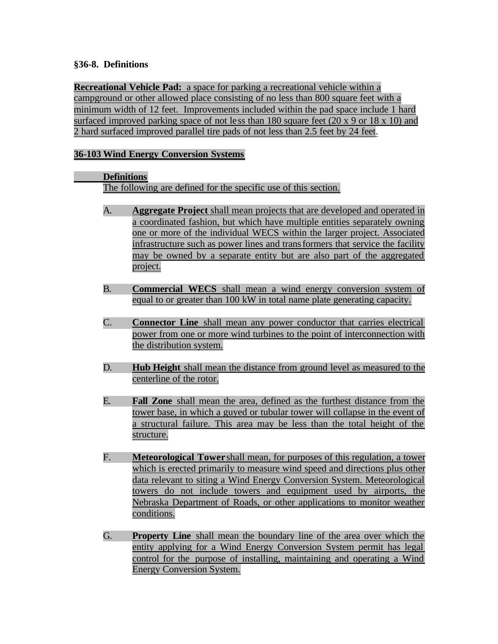#### **§36-8. Definitions**

**Recreational Vehicle Pad:** a space for parking a recreational vehicle within a campground or other allowed place consisting of no less than 800 square feet with a minimum width of 12 feet. Improvements included within the pad space include 1 hard surfaced improved parking space of not less than 180 square feet (20 x 9 or 18 x 10) and 2 hard surfaced improved parallel tire pads of not less than 2.5 feet by 24 feet.

#### **36-103 Wind Energy Conversion Systems**

#### **Definitions**

The following are defined for the specific use of this section.

- A. **Aggregate Project** shall mean projects that are developed and operated in a coordinated fashion, but which have multiple entities separately owning one or more of the individual WECS within the larger project. Associated infrastructure such as power lines and transformers that service the facility may be owned by a separate entity but are also part of the aggregated project.
- B. **Commercial WECS** shall mean a wind energy conversion system of equal to or greater than 100 kW in total name plate generating capacity.
- C. **Connector Line** shall mean any power conductor that carries electrical power from one or more wind turbines to the point of interconnection with the distribution system.
- D. **Hub Height** shall mean the distance from ground level as measured to the centerline of the rotor.
- E. **Fall Zone** shall mean the area, defined as the furthest distance from the tower base, in which a guyed or tubular tower will collapse in the event of a structural failure. This area may be less than the total height of the structure.
- F. **Meteorological Tower** shall mean, for purposes of this regulation, a tower which is erected primarily to measure wind speed and directions plus other data relevant to siting a Wind Energy Conversion System. Meteorological towers do not include towers and equipment used by airports, the Nebraska Department of Roads, or other applications to monitor weather conditions.
- G. **Property Line** shall mean the boundary line of the area over which the entity applying for a Wind Energy Conversion System permit has legal control for the purpose of installing, maintaining and operating a Wind Energy Conversion System.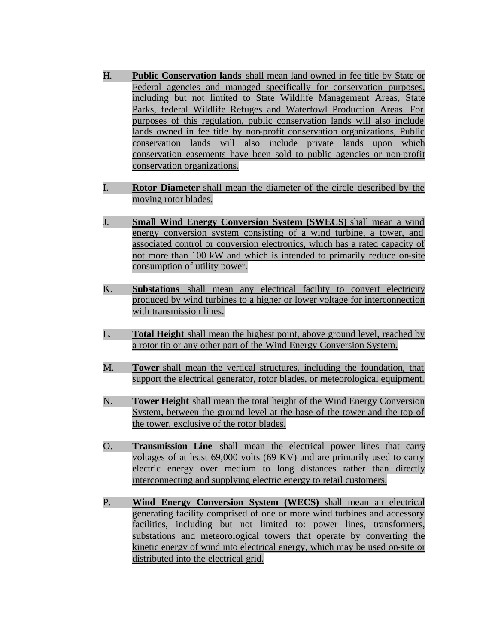- H. **Public Conservation lands** shall mean land owned in fee title by State or Federal agencies and managed specifically for conservation purposes, including but not limited to State Wildlife Management Areas, State Parks, federal Wildlife Refuges and Waterfowl Production Areas. For purposes of this regulation, public conservation lands will also include lands owned in fee title by non-profit conservation organizations, Public conservation lands will also include private lands upon which conservation easements have been sold to public agencies or non-profit conservation organizations.
- I. **Rotor Diameter** shall mean the diameter of the circle described by the moving rotor blades.
- J. **Small Wind Energy Conversion System (SWECS)** shall mean a wind energy conversion system consisting of a wind turbine, a tower, and associated control or conversion electronics, which has a rated capacity of not more than 100 kW and which is intended to primarily reduce on-site consumption of utility power.
- K. **Substations** shall mean any electrical facility to convert electricity produced by wind turbines to a higher or lower voltage for interconnection with transmission lines.
- L. **Total Height** shall mean the highest point, above ground level, reached by a rotor tip or any other part of the Wind Energy Conversion System.
- M. **Tower** shall mean the vertical structures, including the foundation, that support the electrical generator, rotor blades, or meteorological equipment.
- N. **Tower Height** shall mean the total height of the Wind Energy Conversion System, between the ground level at the base of the tower and the top of the tower, exclusive of the rotor blades.
- O. **Transmission Line** shall mean the electrical power lines that carry voltages of at least 69,000 volts (69 KV) and are primarily used to carry electric energy over medium to long distances rather than directly interconnecting and supplying electric energy to retail customers.
- P. **Wind Energy Conversion System (WECS)** shall mean an electrical generating facility comprised of one or more wind turbines and accessory facilities, including but not limited to: power lines, transformers, substations and meteorological towers that operate by converting the kinetic energy of wind into electrical energy, which may be used on-site or distributed into the electrical grid.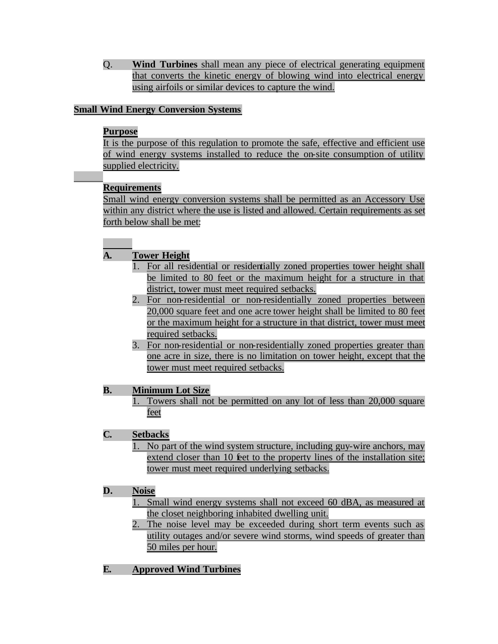Q. **Wind Turbines** shall mean any piece of electrical generating equipment that converts the kinetic energy of blowing wind into electrical energy using airfoils or similar devices to capture the wind.

#### **Small Wind Energy Conversion Systems**

#### **Purpose**

It is the purpose of this regulation to promote the safe, effective and efficient use of wind energy systems installed to reduce the on-site consumption of utility supplied electricity.

#### **Requirements**

Small wind energy conversion systems shall be permitted as an Accessory Use within any district where the use is listed and allowed. Certain requirements as set forth below shall be met:

#### **A. Tower Height**

- 1. For all residential or residentially zoned properties tower height shall be limited to 80 feet or the maximum height for a structure in that district, tower must meet required setbacks.
- 2. For non-residential or non-residentially zoned properties between 20,000 square feet and one acre tower height shall be limited to 80 feet or the maximum height for a structure in that district, tower must meet required setbacks.
- 3. For non-residential or non-residentially zoned properties greater than one acre in size, there is no limitation on tower height, except that the tower must meet required setbacks.

#### **B. Minimum Lot Size**

Towers shall not be permitted on any lot of less than 20,000 square feet

#### **C. Setbacks**

1. No part of the wind system structure, including guy-wire anchors, may extend closer than 10 feet to the property lines of the installation site; tower must meet required underlying setbacks.

#### **D. Noise**

- 1. Small wind energy systems shall not exceed 60 dBA, as measured at the closet neighboring inhabited dwelling unit.
- 2. The noise level may be exceeded during short term events such as utility outages and/or severe wind storms, wind speeds of greater than 50 miles per hour.
- **E. Approved Wind Turbines**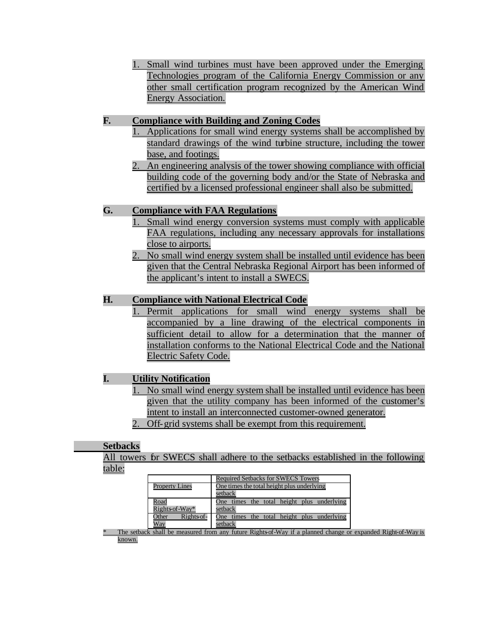1. Small wind turbines must have been approved under the Emerging Technologies program of the California Energy Commission or any other small certification program recognized by the American Wind Energy Association.

#### **F. Compliance with Building and Zoning Codes**

- 1. Applications for small wind energy systems shall be accomplished by standard drawings of the wind turbine structure, including the tower base, and footings.
- 2. An engineering analysis of the tower showing compliance with official building code of the governing body and/or the State of Nebraska and certified by a licensed professional engineer shall also be submitted.

#### **G. Compliance with FAA Regulations**

- 1. Small wind energy conversion systems must comply with applicable FAA regulations, including any necessary approvals for installations close to airports.
- 2. No small wind energy system shall be installed until evidence has been given that the Central Nebraska Regional Airport has been informed of the applicant's intent to install a SWECS.

#### **H. Compliance with National Electrical Code**

1. Permit applications for small wind energy systems shall be accompanied by a line drawing of the electrical components in sufficient detail to allow for a determination that the manner of installation conforms to the National Electrical Code and the National Electric Safety Code.

#### **I. Utility Notification**

- 1. No small wind energy system shall be installed until evidence has been given that the utility company has been informed of the customer's intent to install an interconnected customer-owned generator.
- 2. Off-grid systems shall be exempt from this requirement.

#### **Setbacks**

All towers for SWECS shall adhere to the setbacks established in the following table:

|                       | <b>Required Setbacks for SWECS Towers</b>        |  |  |
|-----------------------|--------------------------------------------------|--|--|
| <b>Property Lines</b> | One times the total height plus underlying       |  |  |
|                       | setback                                          |  |  |
| Road                  | times the total height plus underlying<br>One    |  |  |
| Rights of-Way*        | setback                                          |  |  |
| Rights of-<br>Other   | times<br>the total height plus underlying<br>One |  |  |
| Way                   | setback                                          |  |  |

The setback shall be measured from any future Rights-of-Way if a planned change or expanded Right-of-Way is known.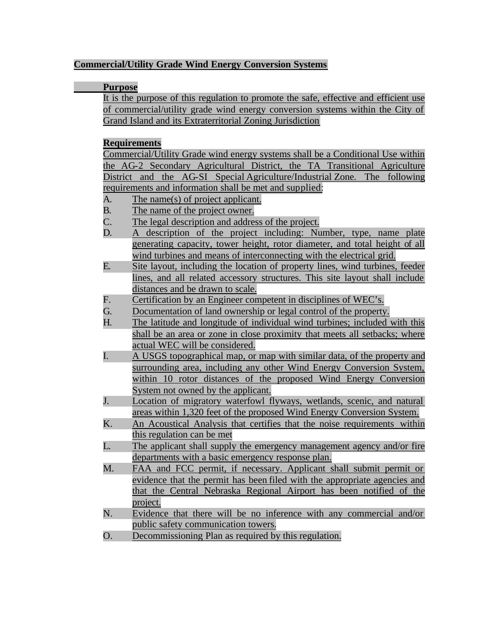#### **Commercial/Utility Grade Wind Energy Conversion Systems**

#### **Purpose**

It is the purpose of this regulation to promote the safe, effective and efficient use of commercial/utility grade wind energy conversion systems within the City of Grand Island and its Extraterritorial Zoning Jurisdiction

#### **Requirements**

Commercial/Utility Grade wind energy systems shall be a Conditional Use within the AG-2 Secondary Agricultural District, the TA Transitional Agriculture District and the AG-SI Special Agriculture/Industrial Zone. The following requirements and information shall be met and supplied:

- A. The name(s) of project applicant.
- B. The name of the project owner.
- C. The legal description and address of the project.
- D. A description of the project including: Number, type, name plate generating capacity, tower height, rotor diameter, and total height of all wind turbines and means of interconnecting with the electrical grid.
- E. Site layout, including the location of property lines, wind turbines, feeder lines, and all related accessory structures. This site layout shall include distances and be drawn to scale.
- F. Certification by an Engineer competent in disciplines of WEC's.
- G. Documentation of land ownership or legal control of the property.
- H. The latitude and longitude of individual wind turbines; included with this shall be an area or zone in close proximity that meets all setbacks; where actual WEC will be considered.
- I. A USGS topographical map, or map with similar data, of the property and surrounding area, including any other Wind Energy Conversion System, within 10 rotor distances of the proposed Wind Energy Conversion System not owned by the applicant.
- J. Location of migratory waterfowl flyways, wetlands, scenic, and natural areas within 1,320 feet of the proposed Wind Energy Conversion System.
- K. An Acoustical Analysis that certifies that the noise requirements within this regulation can be met
- L. The applicant shall supply the emergency management agency and/or fire departments with a basic emergency response plan.
- M. FAA and FCC permit, if necessary. Applicant shall submit permit or evidence that the permit has been filed with the appropriate agencies and that the Central Nebraska Regional Airport has been notified of the project.
- N. Evidence that there will be no inference with any commercial and/or public safety communication towers.
- O. Decommissioning Plan as required by this regulation.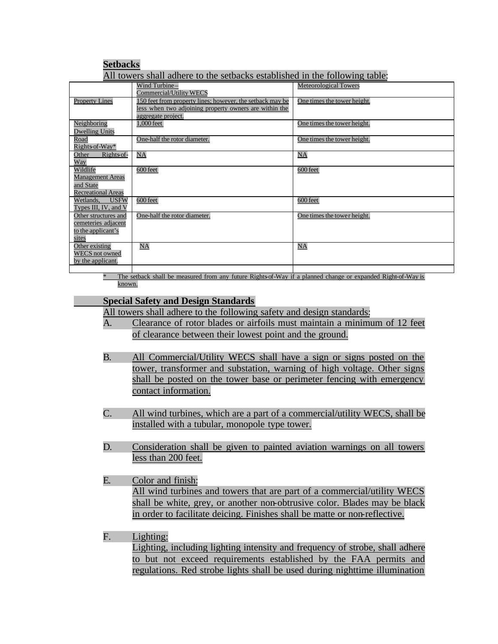| <b>Setbacks</b>                                                                                                       |                                                                                                                                           |                              |  |  |
|-----------------------------------------------------------------------------------------------------------------------|-------------------------------------------------------------------------------------------------------------------------------------------|------------------------------|--|--|
| All towers shall adhere to the setbacks established in the following table:                                           |                                                                                                                                           |                              |  |  |
|                                                                                                                       | Wind Turbine-<br>Commercial/Utility WECS                                                                                                  | <b>Meteorological Towers</b> |  |  |
| <b>Property Lines</b>                                                                                                 | 150 feet from property lines; however, the setback may be<br>less when two adjoining property owners are within the<br>aggregate project. | One times the tower height.  |  |  |
| Neighboring<br><b>Dwelling Units</b>                                                                                  | 1,000 feet                                                                                                                                | One times the tower height.  |  |  |
| Road<br>Rights of-Way*                                                                                                | One-half the rotor diameter.                                                                                                              | One times the tower height.  |  |  |
| Other<br>Rights of-<br>Way                                                                                            | NA                                                                                                                                        | NA                           |  |  |
| Wildlife<br><b>Management Areas</b><br>and State<br><b>Recreational Areas</b>                                         | 600 feet                                                                                                                                  | 600 feet                     |  |  |
| <b>USFW</b><br>Wetlands.<br>Types III, IV, and V                                                                      | 600 feet                                                                                                                                  | 600 feet                     |  |  |
| Other structures and<br>cemeteries adjacent<br>to the applicant's<br>sites                                            | One-half the rotor diameter.                                                                                                              | One times the tower height.  |  |  |
| Other existing<br><b>WECS</b> not owned<br>by the applicant.                                                          | NA                                                                                                                                        | NA                           |  |  |
|                                                                                                                       |                                                                                                                                           |                              |  |  |
| $\ast$<br>The setback shall be measured from any future Rights of Way if a planned change or expanded Right-of-Way is |                                                                                                                                           |                              |  |  |

## known.

#### **Special Safety and Design Standards**

All towers shall adhere to the following safety and design standards:

- A. Clearance of rotor blades or airfoils must maintain a minimum of 12 feet of clearance between their lowest point and the ground.
- B. All Commercial/Utility WECS shall have a sign or signs posted on the tower, transformer and substation, warning of high voltage. Other signs shall be posted on the tower base or perimeter fencing with emergency contact information.
- C. All wind turbines, which are a part of a commercial/utility WECS, shall be installed with a tubular, monopole type tower.
- D. Consideration shall be given to painted aviation warnings on all towers less than 200 feet.
- E. Color and finish: All wind turbines and towers that are part of a commercial/utility WECS shall be white, grey, or another non-obtrusive color. Blades may be black in order to facilitate deicing. Finishes shall be matte or non-reflective.

#### F. Lighting: Lighting, including lighting intensity and frequency of strobe, shall adhere to but not exceed requirements established by the FAA permits and regulations. Red strobe lights shall be used during nighttime illumination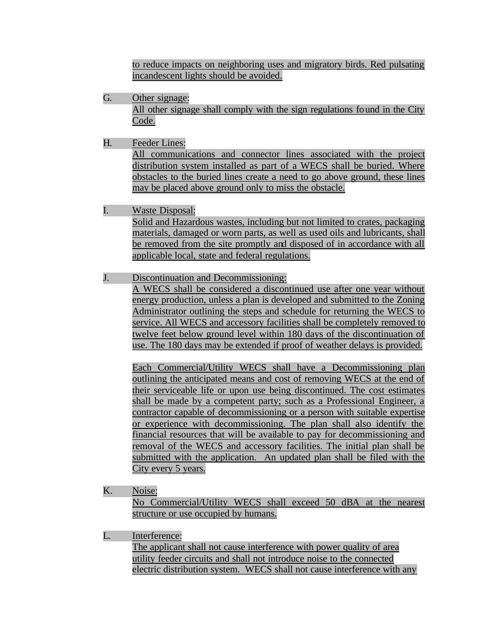to reduce impacts on neighboring uses and migratory birds. Red pulsating incandescent lights should be avoided.

- G. Other signage: All other signage shall comply with the sign regulations found in the City Code.
- H. Feeder Lines:

All communications and connector lines associated with the project distribution system installed as part of a WECS shall be buried. Where obstacles to the buried lines create a need to go above ground, these lines may be placed above ground only to miss the obstacle.

I. Waste Disposal:

Solid and Hazardous wastes, including but not limited to crates, packaging materials, damaged or worn parts, as well as used oils and lubricants, shall be removed from the site promptly and disposed of in accordance with all applicable local, state and federal regulations.

J. Discontinuation and Decommissioning:

A WECS shall be considered a discontinued use after one year without energy production, unless a plan is developed and submitted to the Zoning Administrator outlining the steps and schedule for returning the WECS to service. All WECS and accessory facilities shall be completely removed to twelve feet below ground level within 180 days of the discontinuation of use. The 180 days may be extended if proof of weather delays is provided.

Each Commercial/Utility WECS shall have a Decommissioning plan outlining the anticipated means and cost of removing WECS at the end of their serviceable life or upon use being discontinued. The cost estimates shall be made by a competent party; such as a Professional Engineer, a contractor capable of decommissioning or a person with suitable expertise or experience with decommissioning. The plan shall also identify the financial resources that will be available to pay for decommissioning and removal of the WECS and accessory facilities. The initial plan shall be submitted with the application. An updated plan shall be filed with the City every 5 years.

K. Noise:

No Commercial/Utility WECS shall exceed 50 dBA at the nearest structure or use occupied by humans.

L. Interference:

The applicant shall not cause interference with power quality of area utility feeder circuits and shall not introduce noise to the connected electric distribution system. WECS shall not cause interference with any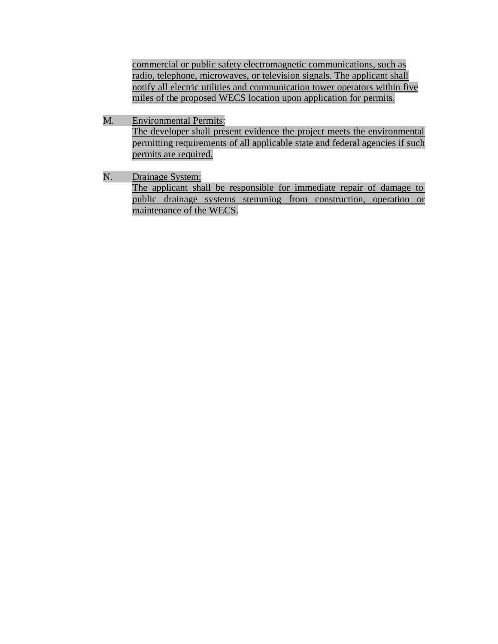commercial or public safety electromagnetic communications, such as radio, telephone, microwaves, or television signals. The applicant shall notify all electric utilities and communication tower operators within five miles of the proposed WECS location upon application for permits.

- M. Environmental Permits: The developer shall present evidence the project meets the environmental permitting requirements of all applicable state and federal agencies if such permits are required.
- N. Drainage System: The applicant shall be responsible for immediate repair of damage to public drainage systems stemming from construction, operation or maintenance of the WECS.